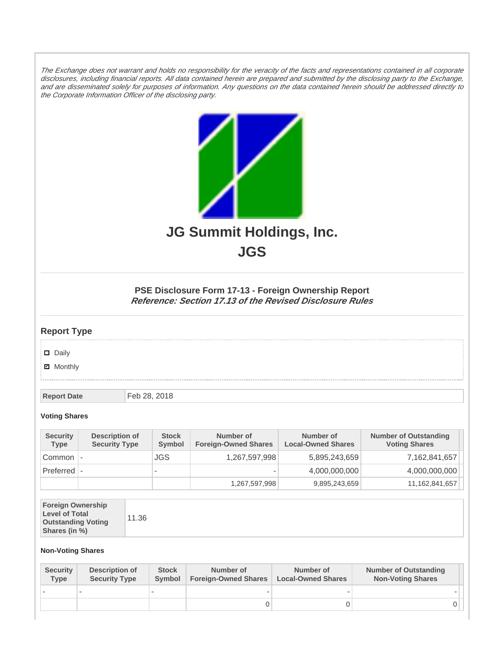The Exchange does not warrant and holds no responsibility for the veracity of the facts and representations contained in all corporate disclosures, including financial reports. All data contained herein are prepared and submitted by the disclosing party to the Exchange, and are disseminated solely for purposes of information. Any questions on the data contained herein should be addressed directly to the Corporate Information Officer of the disclosing party.



**JGS**

## **PSE Disclosure Form 17-13 - Foreign Ownership Report Reference: Section 17.13 of the Revised Disclosure Rules**

## **Report Type**

Daily

**Ø** Monthly

**Report Date** Feb 28, 2018

## **Voting Shares**

| <b>Security</b><br>Type | Description of<br><b>Security Type</b> | <b>Stock</b><br><b>Symbol</b> | Number of<br><b>Foreign-Owned Shares</b> | Number of<br><b>Local-Owned Shares</b> | <b>Number of Outstanding</b><br><b>Voting Shares</b> |
|-------------------------|----------------------------------------|-------------------------------|------------------------------------------|----------------------------------------|------------------------------------------------------|
| Common                  |                                        | JGS.                          | 1,267,597,998                            | 5,895,243,659                          | 7,162,841,657                                        |
| Preferred               |                                        | $\overline{\phantom{a}}$      |                                          | 4,000,000,000                          | 4,000,000,000                                        |
|                         |                                        |                               | 1,267,597,998                            | 9,895,243,659                          | 11,162,841,657                                       |

| <b>Foreign Ownership</b><br><b>Level of Total</b><br><b>Outstanding Voting</b><br>Shares (in %) | 11.36 |
|-------------------------------------------------------------------------------------------------|-------|
|-------------------------------------------------------------------------------------------------|-------|

## **Non-Voting Shares**

| <b>Security</b><br>Type | Description of<br><b>Security Type</b> | <b>Stock</b><br><b>Symbol</b> | Number of<br><b>Foreign-Owned Shares</b> | Number of<br><b>Local-Owned Shares</b> | <b>Number of Outstanding</b><br><b>Non-Voting Shares</b> |
|-------------------------|----------------------------------------|-------------------------------|------------------------------------------|----------------------------------------|----------------------------------------------------------|
|                         |                                        |                               |                                          |                                        |                                                          |
|                         |                                        |                               |                                          |                                        |                                                          |